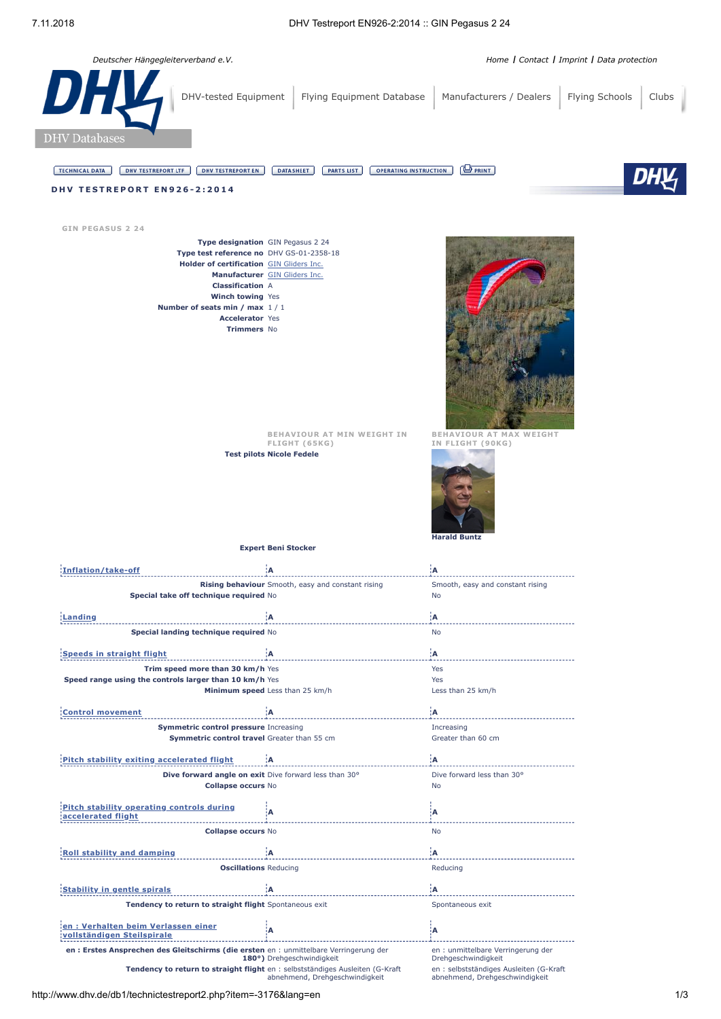

**[vollständigen](javascript:void(0);) Steilspirale <sup>A</sup> <sup>A</sup>**

**Tendency to return to straight flight** en : selbstständiges Ausleiten (G-Kraft

abnehmend, Drehgeschwindigkeit

**en : Erstes Ansprechen des Gleitschirms (die ersten** en : unmittelbare Verringerung der<br>**180°)** Drehgeschwindigkeit

**en : Verhalten beim Verlassen einer**

en : unmittelbare Verringerung der Drehgeschwindigkeit

en : selbstständiges Ausleiten (G-Kraft abnehmend, Drehgeschwindigkeit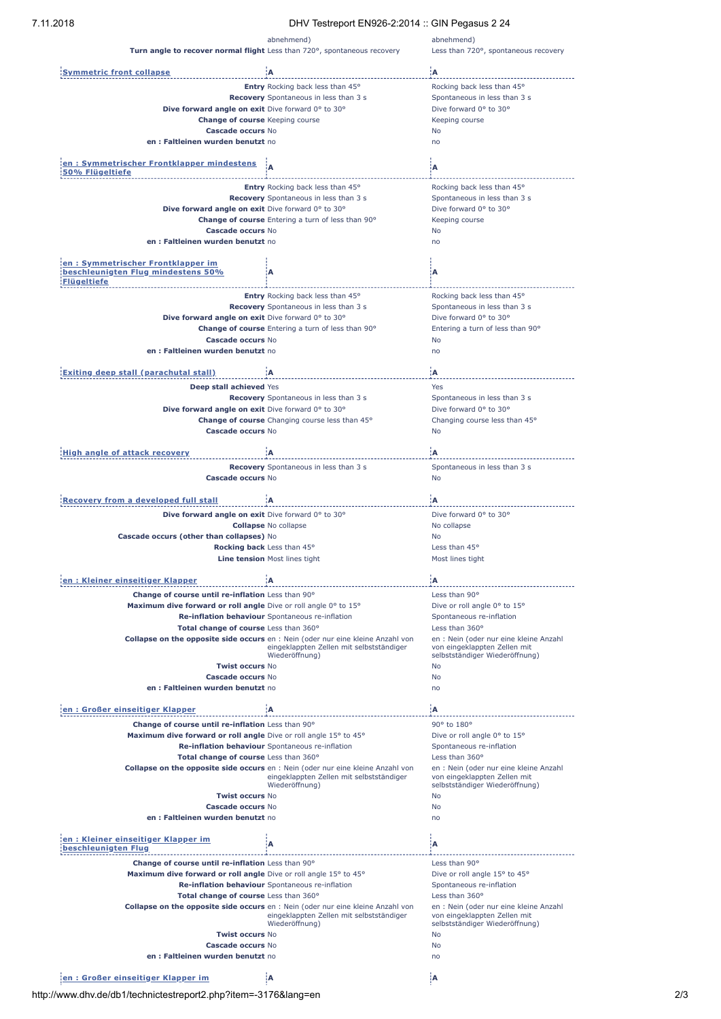| 7.11.2018<br>DHV Testreport EN926-2:2014 :: GIN Pegasus 2 24             |                                                                                                                                    |                                                                        |
|--------------------------------------------------------------------------|------------------------------------------------------------------------------------------------------------------------------------|------------------------------------------------------------------------|
|                                                                          | abnehmend)                                                                                                                         | abnehmend)                                                             |
| Turn angle to recover normal flight Less than 720°, spontaneous recovery |                                                                                                                                    | Less than 720°, spontaneous recovery                                   |
| <b>Symmetric front collapse</b>                                          | ίA                                                                                                                                 | ίA                                                                     |
|                                                                          | <b>Entry</b> Rocking back less than 45°                                                                                            | Rocking back less than 45°                                             |
|                                                                          | Recovery Spontaneous in less than 3 s                                                                                              | Spontaneous in less than 3 s                                           |
| Dive forward angle on exit Dive forward 0° to 30°                        |                                                                                                                                    | Dive forward 0° to 30°                                                 |
| Change of course Keeping course                                          |                                                                                                                                    | Keeping course                                                         |
| Cascade occurs No                                                        |                                                                                                                                    | No                                                                     |
| en: Faltleinen wurden benutzt no                                         |                                                                                                                                    | no                                                                     |
| en: Symmetrischer Frontklapper mindestens                                |                                                                                                                                    |                                                                        |
| 50% Flügeltiefe                                                          | A                                                                                                                                  | Α                                                                      |
|                                                                          | <b>Entry</b> Rocking back less than 45°                                                                                            | Rocking back less than 45°                                             |
|                                                                          | Recovery Spontaneous in less than 3 s                                                                                              | Spontaneous in less than 3 s                                           |
| Dive forward angle on exit Dive forward 0° to 30°                        |                                                                                                                                    | Dive forward 0° to 30°                                                 |
|                                                                          | <b>Change of course</b> Entering a turn of less than 90°                                                                           | Keeping course                                                         |
| Cascade occurs No                                                        |                                                                                                                                    | No                                                                     |
| en: Faltleinen wurden benutzt no                                         |                                                                                                                                    | no                                                                     |
| en : Symmetrischer Frontklapper im                                       |                                                                                                                                    |                                                                        |
| beschleunigten Flug mindestens 50%                                       | А                                                                                                                                  | Α                                                                      |
| <b>Flügeltiefe</b>                                                       |                                                                                                                                    |                                                                        |
|                                                                          | Entry Rocking back less than 45°                                                                                                   | Rocking back less than 45°                                             |
|                                                                          | Recovery Spontaneous in less than 3 s                                                                                              | Spontaneous in less than 3 s                                           |
| Dive forward angle on exit Dive forward 0° to 30°                        |                                                                                                                                    | Dive forward 0° to 30°                                                 |
| <b>Cascade occurs No</b>                                                 | Change of course Entering a turn of less than 90°                                                                                  | Entering a turn of less than 90°<br>No                                 |
| en: Faltleinen wurden benutzt no                                         |                                                                                                                                    | no                                                                     |
|                                                                          |                                                                                                                                    |                                                                        |
| Exiting deep stall (parachutal stall)                                    | ïΑ                                                                                                                                 | ۱A.                                                                    |
| Deep stall achieved Yes                                                  |                                                                                                                                    | Yes                                                                    |
|                                                                          | Recovery Spontaneous in less than 3 s                                                                                              | Spontaneous in less than 3 s                                           |
| Dive forward angle on exit Dive forward 0° to 30°                        |                                                                                                                                    | Dive forward 0° to 30°                                                 |
|                                                                          | Change of course Changing course less than 45°                                                                                     | Changing course less than 45°                                          |
| Cascade occurs No                                                        |                                                                                                                                    | No                                                                     |
| <b>High angle of attack recovery</b>                                     | ïΑ                                                                                                                                 | łА:                                                                    |
|                                                                          |                                                                                                                                    | Spontaneous in less than 3 s                                           |
| Cascade occurs No                                                        | Recovery Spontaneous in less than 3 s                                                                                              | No                                                                     |
|                                                                          |                                                                                                                                    |                                                                        |
| <b>Recovery from a developed full stall</b>                              | ۱A.                                                                                                                                | ۱A                                                                     |
| Dive forward angle on exit Dive forward 0° to 30°                        |                                                                                                                                    | Dive forward 0° to 30°                                                 |
|                                                                          | <b>Collapse No collapse</b>                                                                                                        | No collapse                                                            |
| Cascade occurs (other than collapses) No                                 |                                                                                                                                    | No<br>Less than 45°                                                    |
| Rocking back Less than 45°                                               | <b>Line tension</b> Most lines tight                                                                                               | Most lines tight                                                       |
|                                                                          |                                                                                                                                    |                                                                        |
| en: Kleiner einseitiger Klapper                                          |                                                                                                                                    | :A                                                                     |
| Change of course until re-inflation Less than 90°                        |                                                                                                                                    | Less than 90°                                                          |
| Maximum dive forward or roll angle Dive or roll angle 0° to 15°          |                                                                                                                                    | Dive or roll angle 0° to 15°                                           |
|                                                                          | Re-inflation behaviour Spontaneous re-inflation                                                                                    | Spontaneous re-inflation                                               |
| Total change of course Less than 360°                                    |                                                                                                                                    | Less than 360°                                                         |
|                                                                          | <b>Collapse on the opposite side occurs</b> en : Nein (oder nur eine kleine Anzahl von<br>eingeklappten Zellen mit selbstständiger | en : Nein (oder nur eine kleine Anzahl<br>von eingeklappten Zellen mit |
|                                                                          | Wiederöffnung)                                                                                                                     | selbstständiger Wiederöffnung)                                         |
| <b>Twist occurs No</b>                                                   |                                                                                                                                    | No                                                                     |
| Cascade occurs No<br>en : Faltleinen wurden benutzt no                   |                                                                                                                                    | No<br>no                                                               |
|                                                                          |                                                                                                                                    |                                                                        |
| en: Großer einseitiger Klapper                                           | ۱A.                                                                                                                                | ۱A.                                                                    |
| Change of course until re-inflation Less than 90°                        |                                                                                                                                    | 90° to 180°                                                            |
| Maximum dive forward or roll angle Dive or roll angle 15° to 45°         |                                                                                                                                    | Dive or roll angle 0° to 15°                                           |
|                                                                          | Re-inflation behaviour Spontaneous re-inflation                                                                                    | Spontaneous re-inflation                                               |
| Total change of course Less than 360°                                    |                                                                                                                                    | Less than 360°                                                         |
|                                                                          | <b>Collapse on the opposite side occurs</b> en : Nein (oder nur eine kleine Anzahl von<br>eingeklappten Zellen mit selbstständiger | en : Nein (oder nur eine kleine Anzahl<br>von eingeklappten Zellen mit |
|                                                                          | Wiederöffnung)                                                                                                                     | selbstständiger Wiederöffnung)                                         |
| <b>Twist occurs No</b>                                                   |                                                                                                                                    | No                                                                     |
| <b>Cascade occurs No</b><br>en: Faltleinen wurden benutzt no             |                                                                                                                                    | No<br>no                                                               |
|                                                                          |                                                                                                                                    |                                                                        |
| en: Kleiner einseitiger Klapper im                                       | А                                                                                                                                  | Α                                                                      |
| beschleunigten Flug                                                      |                                                                                                                                    |                                                                        |
| Change of course until re-inflation Less than 90°                        |                                                                                                                                    | Less than 90°                                                          |
| Maximum dive forward or roll angle Dive or roll angle 15° to 45°         |                                                                                                                                    | Dive or roll angle 15° to 45°                                          |
|                                                                          | Re-inflation behaviour Spontaneous re-inflation                                                                                    | Spontaneous re-inflation                                               |
| Total change of course Less than 360°                                    |                                                                                                                                    | Less than 360°                                                         |
|                                                                          | Collapse on the opposite side occurs en : Nein (oder nur eine kleine Anzahl von<br>eingeklappten Zellen mit selbstständiger        | en : Nein (oder nur eine kleine Anzahl<br>von eingeklappten Zellen mit |
|                                                                          | Wiederöffnung)                                                                                                                     | selbstständiger Wiederöffnung)                                         |
| <b>Twist occurs No</b>                                                   |                                                                                                                                    | No                                                                     |
| <b>Cascade occurs No</b>                                                 |                                                                                                                                    | No                                                                     |
| en : Faltleinen wurden benutzt no                                        |                                                                                                                                    | no                                                                     |
| len: Großer einseitiger Klapper im                                       | ١A                                                                                                                                 | ίA                                                                     |

http://www.dhv.de/db1/technictestreport2.php?item=-3176&lang=en 2/3